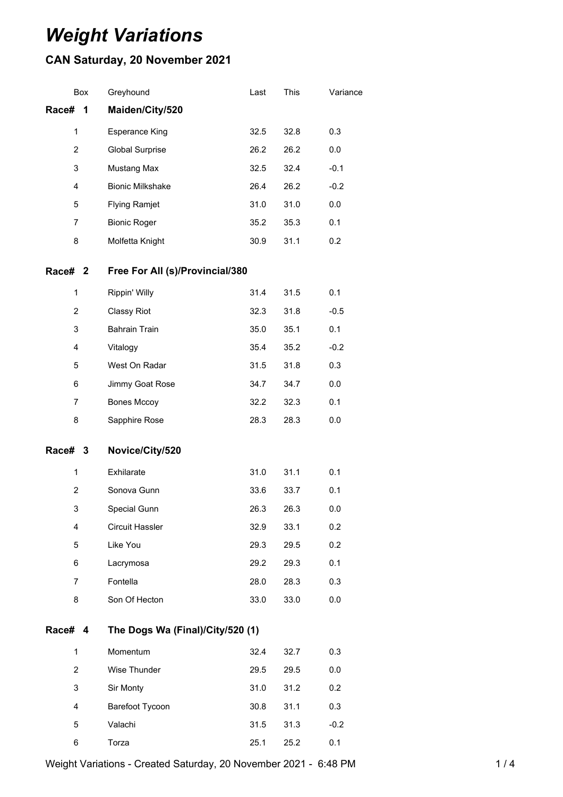# *Weight Variations*

## **CAN Saturday, 20 November 2021**

| Box               | Greyhound                        | Last | This | Variance |
|-------------------|----------------------------------|------|------|----------|
| Race#<br>1        | Maiden/City/520                  |      |      |          |
| 1                 | <b>Esperance King</b>            | 32.5 | 32.8 | 0.3      |
| $\overline{2}$    | <b>Global Surprise</b>           | 26.2 | 26.2 | 0.0      |
| 3                 | Mustang Max                      | 32.5 | 32.4 | $-0.1$   |
| 4                 | <b>Bionic Milkshake</b>          | 26.4 | 26.2 | $-0.2$   |
| 5                 | <b>Flying Ramjet</b>             | 31.0 | 31.0 | 0.0      |
| 7                 | <b>Bionic Roger</b>              | 35.2 | 35.3 | 0.1      |
| 8                 | Molfetta Knight                  | 30.9 | 31.1 | 0.2      |
| Race# 2           | Free For All (s)/Provincial/380  |      |      |          |
| 1                 | Rippin' Willy                    | 31.4 | 31.5 | 0.1      |
| $\overline{2}$    | <b>Classy Riot</b>               | 32.3 | 31.8 | $-0.5$   |
| 3                 | <b>Bahrain Train</b>             | 35.0 | 35.1 | 0.1      |
| 4                 | Vitalogy                         | 35.4 | 35.2 | $-0.2$   |
| 5                 | West On Radar                    | 31.5 | 31.8 | 0.3      |
| 6                 | Jimmy Goat Rose                  | 34.7 | 34.7 | 0.0      |
| 7                 | <b>Bones Mccoy</b>               | 32.2 | 32.3 | 0.1      |
| 8                 | Sapphire Rose                    | 28.3 | 28.3 | 0.0      |
|                   |                                  |      |      |          |
| <b>Race#</b><br>3 | Novice/City/520                  |      |      |          |
| $\mathbf{1}$      | Exhilarate                       | 31.0 | 31.1 | 0.1      |
| $\overline{c}$    | Sonova Gunn                      | 33.6 | 33.7 | 0.1      |
| 3                 | Special Gunn                     | 26.3 | 26.3 | 0.0      |
| 4                 | <b>Circuit Hassler</b>           | 32.9 | 33.1 | 0.2      |
| 5                 | Like You                         | 29.3 | 29.5 | 0.2      |
| 6                 | Lacrymosa                        | 29.2 | 29.3 | 0.1      |
| $\overline{7}$    | Fontella                         | 28.0 | 28.3 | 0.3      |
| 8                 | Son Of Hecton                    | 33.0 | 33.0 | 0.0      |
| Race# 4           | The Dogs Wa (Final)/City/520 (1) |      |      |          |
| $\mathbf{1}$      | Momentum                         | 32.4 | 32.7 | 0.3      |
| $\overline{2}$    | Wise Thunder                     | 29.5 | 29.5 | 0.0      |
| 3                 | Sir Monty                        | 31.0 | 31.2 | 0.2      |
| 4                 | Barefoot Tycoon                  | 30.8 | 31.1 | 0.3      |

Weight Variations - Created Saturday, 20 November 2021 - 6:48 PM 14

Torza 25.1 25.2 0.1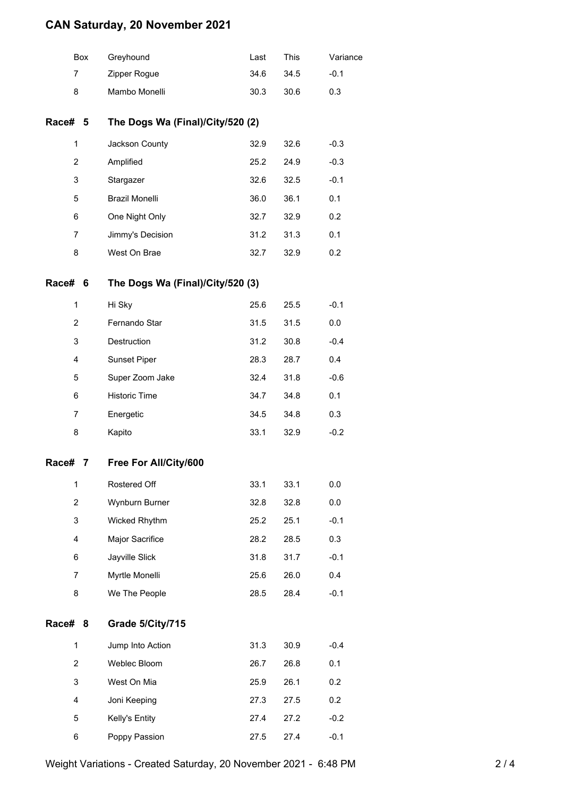## **CAN Saturday, 20 November 2021**

| Box              |                                             | Greyhound                        | Last | This | Variance |
|------------------|---------------------------------------------|----------------------------------|------|------|----------|
| 7                |                                             | Zipper Rogue                     | 34.6 | 34.5 | $-0.1$   |
| 8                |                                             | Mambo Monelli                    | 30.3 | 30.6 | 0.3      |
|                  | Race# 5<br>The Dogs Wa (Final)/City/520 (2) |                                  |      |      |          |
| 1                |                                             | Jackson County                   | 32.9 | 32.6 | $-0.3$   |
| $\overline{2}$   |                                             | Amplified                        | 25.2 | 24.9 | $-0.3$   |
| 3                |                                             | Stargazer                        | 32.6 | 32.5 | $-0.1$   |
| 5                |                                             | <b>Brazil Monelli</b>            | 36.0 | 36.1 | 0.1      |
| 6                |                                             | One Night Only                   | 32.7 | 32.9 | 0.2      |
| 7                |                                             | Jimmy's Decision                 | 31.2 | 31.3 | 0.1      |
| 8                |                                             | West On Brae                     | 32.7 | 32.9 | 0.2      |
| Race#            | 6                                           | The Dogs Wa (Final)/City/520 (3) |      |      |          |
| 1                |                                             | Hi Sky                           | 25.6 | 25.5 | $-0.1$   |
| 2                |                                             | Fernando Star                    | 31.5 | 31.5 | 0.0      |
| 3                |                                             | Destruction                      | 31.2 | 30.8 | $-0.4$   |
| 4                |                                             | Sunset Piper                     | 28.3 | 28.7 | 0.4      |
| 5                |                                             | Super Zoom Jake                  | 32.4 | 31.8 | $-0.6$   |
| 6                |                                             | <b>Historic Time</b>             | 34.7 | 34.8 | 0.1      |
| $\overline{7}$   |                                             | Energetic                        | 34.5 | 34.8 | 0.3      |
| 8                |                                             | Kapito                           | 33.1 | 32.9 | $-0.2$   |
| Race#            | 7                                           | Free For All/City/600            |      |      |          |
| 1                |                                             | Rostered Off                     | 33.1 | 33.1 | 0.0      |
| $\boldsymbol{2}$ |                                             | Wynburn Burner                   | 32.8 | 32.8 | 0.0      |
| 3                |                                             | Wicked Rhythm                    | 25.2 | 25.1 | $-0.1$   |
| 4                |                                             | Major Sacrifice                  | 28.2 | 28.5 | 0.3      |
| 6                |                                             | Jayville Slick                   | 31.8 | 31.7 | $-0.1$   |
| $\overline{7}$   |                                             | Myrtle Monelli                   | 25.6 | 26.0 | 0.4      |
| 8                |                                             | We The People                    | 28.5 | 28.4 | $-0.1$   |
| Race#            | 8                                           | Grade 5/City/715                 |      |      |          |
| 1                |                                             | Jump Into Action                 | 31.3 | 30.9 | $-0.4$   |
| $\overline{c}$   |                                             | Weblec Bloom                     | 26.7 | 26.8 | 0.1      |
| 3                |                                             | West On Mia                      | 25.9 | 26.1 | 0.2      |
| 4                |                                             | Joni Keeping                     | 27.3 | 27.5 | 0.2      |
| 5                |                                             | Kelly's Entity                   | 27.4 | 27.2 | $-0.2$   |
| 6                |                                             | Poppy Passion                    | 27.5 | 27.4 | $-0.1$   |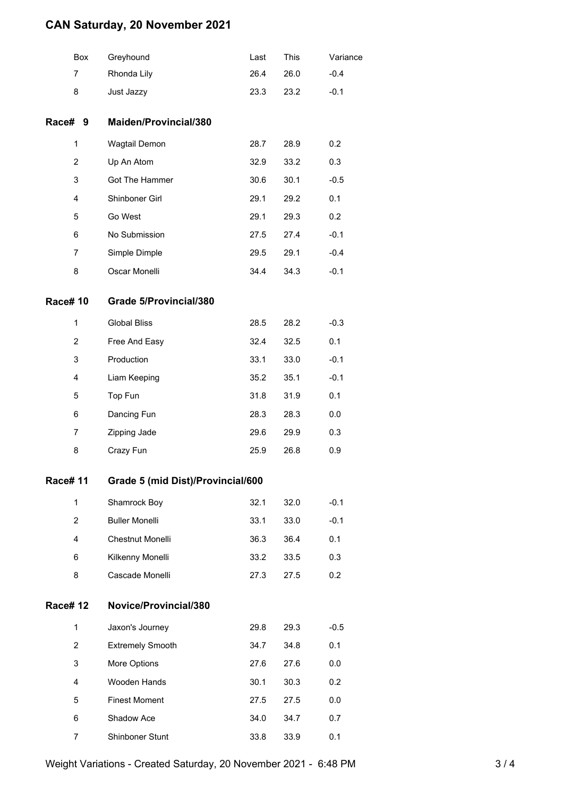## **CAN Saturday, 20 November 2021**

|                 | Box            | Greyhound                         | Last | This | Variance |
|-----------------|----------------|-----------------------------------|------|------|----------|
|                 | 7              | Rhonda Lily                       | 26.4 | 26.0 | $-0.4$   |
|                 | 8              | Just Jazzy                        | 23.3 | 23.2 | $-0.1$   |
| Race# 9         |                | Maiden/Provincial/380             |      |      |          |
|                 | 1              | Wagtail Demon                     | 28.7 | 28.9 | 0.2      |
|                 | 2              | Up An Atom                        | 32.9 | 33.2 | 0.3      |
|                 | 3              | Got The Hammer                    | 30.6 | 30.1 | $-0.5$   |
|                 | 4              | Shinboner Girl                    | 29.1 | 29.2 | 0.1      |
|                 | 5              | Go West                           | 29.1 | 29.3 | 0.2      |
|                 | 6              | No Submission                     | 27.5 | 27.4 | $-0.1$   |
|                 | 7              | Simple Dimple                     | 29.5 | 29.1 | $-0.4$   |
|                 | 8              | Oscar Monelli                     | 34.4 | 34.3 | $-0.1$   |
| <b>Race# 10</b> |                | <b>Grade 5/Provincial/380</b>     |      |      |          |
|                 | $\mathbf{1}$   | <b>Global Bliss</b>               | 28.5 | 28.2 | $-0.3$   |
|                 | 2              | Free And Easy                     | 32.4 | 32.5 | 0.1      |
|                 | 3              | Production                        | 33.1 | 33.0 | $-0.1$   |
|                 | 4              | Liam Keeping                      | 35.2 | 35.1 | $-0.1$   |
|                 | 5              | Top Fun                           | 31.8 | 31.9 | 0.1      |
|                 | 6              | Dancing Fun                       | 28.3 | 28.3 | 0.0      |
|                 | 7              | Zipping Jade                      | 29.6 | 29.9 | 0.3      |
|                 | 8              | Crazy Fun                         | 25.9 | 26.8 | 0.9      |
| <b>Race# 11</b> |                | Grade 5 (mid Dist)/Provincial/600 |      |      |          |
|                 | $\mathbf{1}$   | Shamrock Boy                      | 32.1 | 32.0 | $-0.1$   |
|                 | $\overline{2}$ | <b>Buller Monelli</b>             | 33.1 | 33.0 | $-0.1$   |
|                 | 4              | Chestnut Monelli                  | 36.3 | 36.4 | 0.1      |
|                 | 6              | Kilkenny Monelli                  | 33.2 | 33.5 | 0.3      |
|                 | 8              | Cascade Monelli                   | 27.3 | 27.5 | 0.2      |
| <b>Race# 12</b> |                | Novice/Provincial/380             |      |      |          |
|                 | 1              | Jaxon's Journey                   | 29.8 | 29.3 | $-0.5$   |
|                 | 2              | <b>Extremely Smooth</b>           | 34.7 | 34.8 | 0.1      |
|                 | 3              | More Options                      | 27.6 | 27.6 | 0.0      |
|                 | 4              | Wooden Hands                      | 30.1 | 30.3 | 0.2      |
|                 | 5              | <b>Finest Moment</b>              | 27.5 | 27.5 | 0.0      |
|                 | 6              | Shadow Ace                        | 34.0 | 34.7 | 0.7      |
|                 | 7              | Shinboner Stunt                   | 33.8 | 33.9 | 0.1      |
|                 |                |                                   |      |      |          |